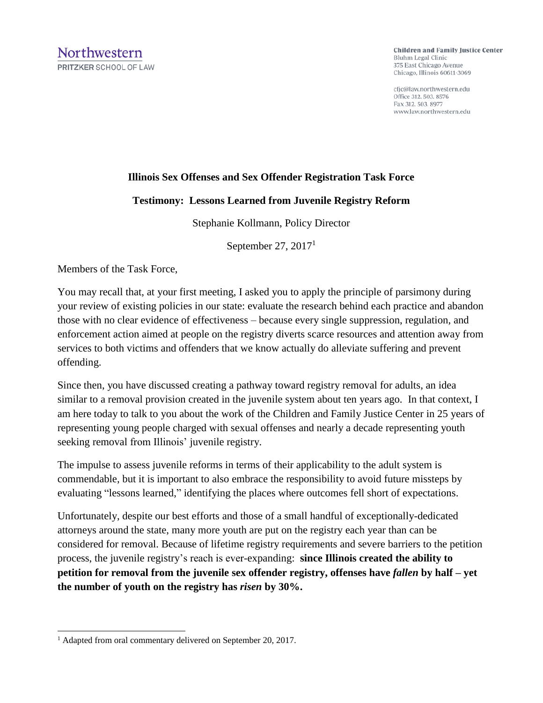**Children and Family Justice Center** Bluhm Legal Clinic 375 East Chicago Avenue Chicago, Illinois 60611-3069

cfjc@law.northwestern.edu Office 312. 503. 8576 Fax 312, 503, 8977 www.law.northwestern.edu

## **Illinois Sex Offenses and Sex Offender Registration Task Force**

## **Testimony: Lessons Learned from Juvenile Registry Reform**

Stephanie Kollmann, Policy Director

September 27,  $2017<sup>1</sup>$ 

Members of the Task Force,

You may recall that, at your first meeting, I asked you to apply the principle of parsimony during your review of existing policies in our state: evaluate the research behind each practice and abandon those with no clear evidence of effectiveness – because every single suppression, regulation, and enforcement action aimed at people on the registry diverts scarce resources and attention away from services to both victims and offenders that we know actually do alleviate suffering and prevent offending.

Since then, you have discussed creating a pathway toward registry removal for adults, an idea similar to a removal provision created in the juvenile system about ten years ago. In that context, I am here today to talk to you about the work of the Children and Family Justice Center in 25 years of representing young people charged with sexual offenses and nearly a decade representing youth seeking removal from Illinois' juvenile registry.

The impulse to assess juvenile reforms in terms of their applicability to the adult system is commendable, but it is important to also embrace the responsibility to avoid future missteps by evaluating "lessons learned," identifying the places where outcomes fell short of expectations.

Unfortunately, despite our best efforts and those of a small handful of exceptionally-dedicated attorneys around the state, many more youth are put on the registry each year than can be considered for removal. Because of lifetime registry requirements and severe barriers to the petition process, the juvenile registry's reach is ever-expanding: **since Illinois created the ability to petition for removal from the juvenile sex offender registry, offenses have** *fallen* **by half – yet the number of youth on the registry has** *risen* **by 30%.**

 <sup>1</sup> Adapted from oral commentary delivered on September 20, 2017.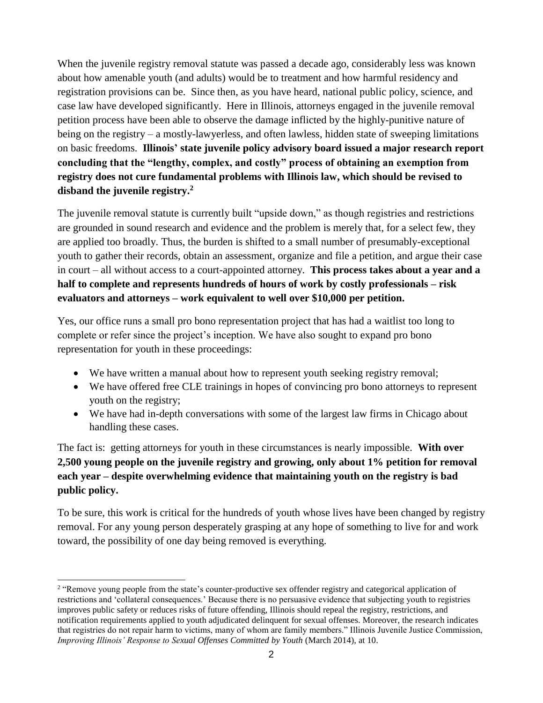When the juvenile registry removal statute was passed a decade ago, considerably less was known about how amenable youth (and adults) would be to treatment and how harmful residency and registration provisions can be. Since then, as you have heard, national public policy, science, and case law have developed significantly. Here in Illinois, attorneys engaged in the juvenile removal petition process have been able to observe the damage inflicted by the highly-punitive nature of being on the registry – a mostly-lawyerless, and often lawless, hidden state of sweeping limitations on basic freedoms. **Illinois' state juvenile policy advisory board issued a major research report concluding that the "lengthy, complex, and costly" process of obtaining an exemption from registry does not cure fundamental problems with Illinois law, which should be revised to disband the juvenile registry. 2**

The juvenile removal statute is currently built "upside down," as though registries and restrictions are grounded in sound research and evidence and the problem is merely that, for a select few, they are applied too broadly. Thus, the burden is shifted to a small number of presumably-exceptional youth to gather their records, obtain an assessment, organize and file a petition, and argue their case in court – all without access to a court-appointed attorney. **This process takes about a year and a half to complete and represents hundreds of hours of work by costly professionals – risk evaluators and attorneys – work equivalent to well over \$10,000 per petition.** 

Yes, our office runs a small pro bono representation project that has had a waitlist too long to complete or refer since the project's inception. We have also sought to expand pro bono representation for youth in these proceedings:

- We have written a manual about how to represent youth seeking registry removal;
- We have offered free CLE trainings in hopes of convincing pro bono attorneys to represent youth on the registry;
- We have had in-depth conversations with some of the largest law firms in Chicago about handling these cases.

The fact is: getting attorneys for youth in these circumstances is nearly impossible. **With over 2,500 young people on the juvenile registry and growing, only about 1% petition for removal each year – despite overwhelming evidence that maintaining youth on the registry is bad public policy.**

To be sure, this work is critical for the hundreds of youth whose lives have been changed by registry removal. For any young person desperately grasping at any hope of something to live for and work toward, the possibility of one day being removed is everything.

 <sup>2</sup> "Remove young people from the state's counter-productive sex offender registry and categorical application of restrictions and 'collateral consequences.' Because there is no persuasive evidence that subjecting youth to registries improves public safety or reduces risks of future offending, Illinois should repeal the registry, restrictions, and notification requirements applied to youth adjudicated delinquent for sexual offenses. Moreover, the research indicates that registries do not repair harm to victims, many of whom are family members." Illinois Juvenile Justice Commission, *Improving Illinois' Response to Sexual Offenses Committed by Youth* (March 2014), at 10.